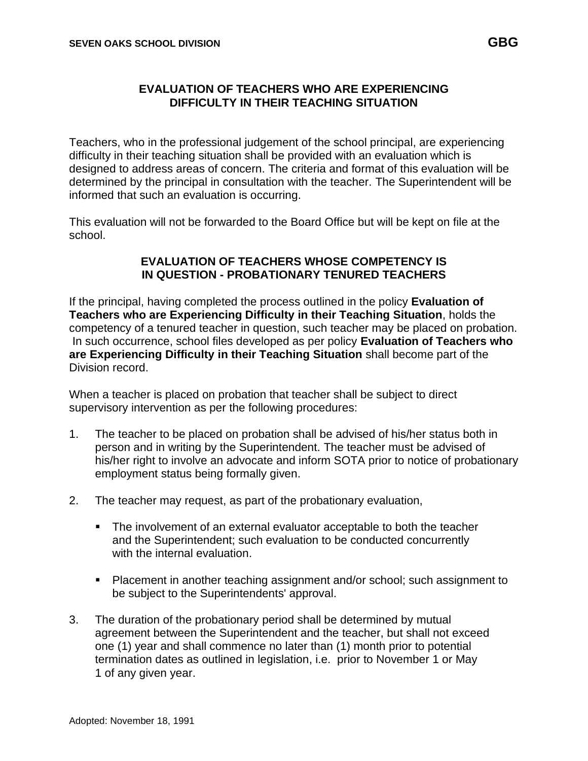## **EVALUATION OF TEACHERS WHO ARE EXPERIENCING DIFFICULTY IN THEIR TEACHING SITUATION**

Teachers, who in the professional judgement of the school principal, are experiencing difficulty in their teaching situation shall be provided with an evaluation which is designed to address areas of concern. The criteria and format of this evaluation will be determined by the principal in consultation with the teacher. The Superintendent will be informed that such an evaluation is occurring.

This evaluation will not be forwarded to the Board Office but will be kept on file at the school.

## **EVALUATION OF TEACHERS WHOSE COMPETENCY IS IN QUESTION - PROBATIONARY TENURED TEACHERS**

If the principal, having completed the process outlined in the policy **Evaluation of Teachers who are Experiencing Difficulty in their Teaching Situation**, holds the competency of a tenured teacher in question, such teacher may be placed on probation. In such occurrence, school files developed as per policy **Evaluation of Teachers who are Experiencing Difficulty in their Teaching Situation** shall become part of the Division record.

When a teacher is placed on probation that teacher shall be subject to direct supervisory intervention as per the following procedures:

- 1. The teacher to be placed on probation shall be advised of his/her status both in person and in writing by the Superintendent. The teacher must be advised of his/her right to involve an advocate and inform SOTA prior to notice of probationary employment status being formally given.
- 2. The teacher may request, as part of the probationary evaluation,
	- The involvement of an external evaluator acceptable to both the teacher and the Superintendent; such evaluation to be conducted concurrently with the internal evaluation.
	- Placement in another teaching assignment and/or school; such assignment to be subject to the Superintendents' approval.
- 3. The duration of the probationary period shall be determined by mutual agreement between the Superintendent and the teacher, but shall not exceed one (1) year and shall commence no later than (1) month prior to potential termination dates as outlined in legislation, i.e. prior to November 1 or May 1 of any given year.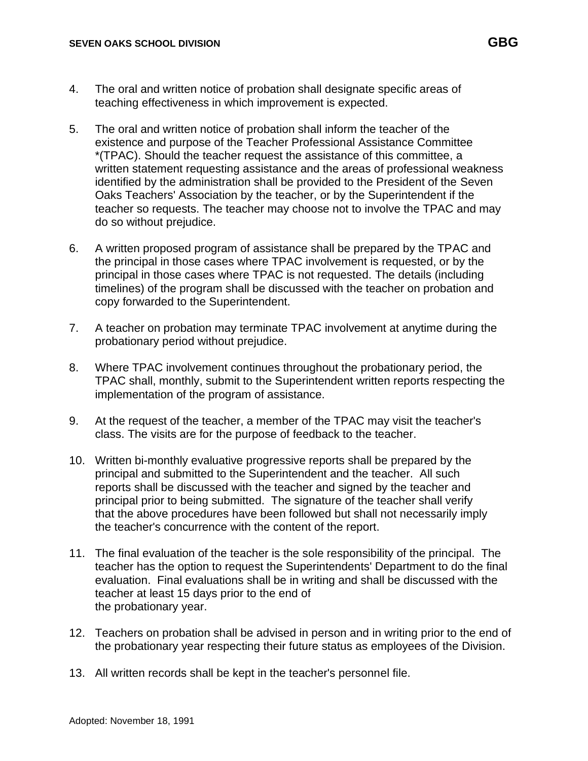- 4. The oral and written notice of probation shall designate specific areas of teaching effectiveness in which improvement is expected.
- 5. The oral and written notice of probation shall inform the teacher of the existence and purpose of the Teacher Professional Assistance Committee \*(TPAC). Should the teacher request the assistance of this committee, a written statement requesting assistance and the areas of professional weakness identified by the administration shall be provided to the President of the Seven Oaks Teachers' Association by the teacher, or by the Superintendent if the teacher so requests. The teacher may choose not to involve the TPAC and may do so without prejudice.
- 6. A written proposed program of assistance shall be prepared by the TPAC and the principal in those cases where TPAC involvement is requested, or by the principal in those cases where TPAC is not requested. The details (including timelines) of the program shall be discussed with the teacher on probation and copy forwarded to the Superintendent.
- 7. A teacher on probation may terminate TPAC involvement at anytime during the probationary period without prejudice.
- 8. Where TPAC involvement continues throughout the probationary period, the TPAC shall, monthly, submit to the Superintendent written reports respecting the implementation of the program of assistance.
- 9. At the request of the teacher, a member of the TPAC may visit the teacher's class. The visits are for the purpose of feedback to the teacher.
- 10. Written bi-monthly evaluative progressive reports shall be prepared by the principal and submitted to the Superintendent and the teacher. All such reports shall be discussed with the teacher and signed by the teacher and principal prior to being submitted. The signature of the teacher shall verify that the above procedures have been followed but shall not necessarily imply the teacher's concurrence with the content of the report.
- 11. The final evaluation of the teacher is the sole responsibility of the principal. The teacher has the option to request the Superintendents' Department to do the final evaluation. Final evaluations shall be in writing and shall be discussed with the teacher at least 15 days prior to the end of the probationary year.
- 12. Teachers on probation shall be advised in person and in writing prior to the end of the probationary year respecting their future status as employees of the Division.
- 13. All written records shall be kept in the teacher's personnel file.